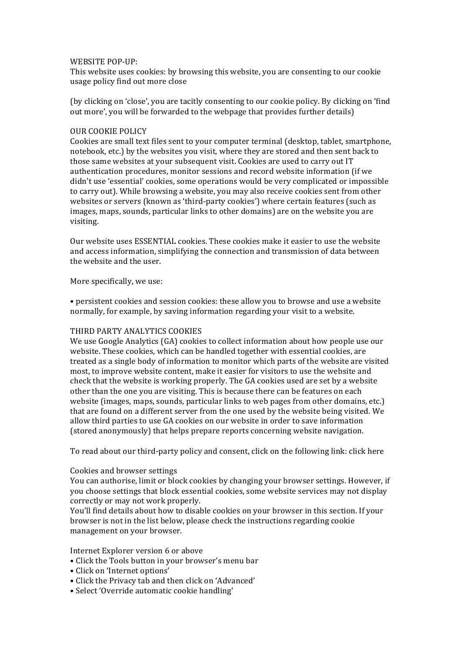## WEBSITE POP-UP:

This website uses cookies: by browsing this website, you are consenting to our cookie usage policy find out more close

(by clicking on 'close', you are tacitly consenting to our cookie policy. By clicking on 'find out more', you will be forwarded to the webpage that provides further details)

# OUR COOKIE POLICY

Cookies are small text files sent to vour computer terminal (desktop, tablet, smartphone, notebook, etc.) by the websites you visit, where they are stored and then sent back to those same websites at your subsequent visit. Cookies are used to carry out IT authentication procedures, monitor sessions and record website information (if we didn't use 'essential' cookies, some operations would be very complicated or impossible to carry out). While browsing a website, you may also receive cookies sent from other websites or servers (known as 'third-party cookies') where certain features (such as images, maps, sounds, particular links to other domains) are on the website you are visiting.

Our website uses ESSENTIAL cookies. These cookies make it easier to use the website and access information, simplifying the connection and transmission of data between the website and the user.

### More specifically, we use:

• persistent cookies and session cookies: these allow you to browse and use a website normally, for example, by saving information regarding your visit to a website.

## THIRD PARTY ANALYTICS COOKIES

We use Google Analytics  $(GA)$  cookies to collect information about how people use our website. These cookies, which can be handled together with essential cookies, are treated as a single body of information to monitor which parts of the website are visited most, to improve website content, make it easier for visitors to use the website and check that the website is working properly. The GA cookies used are set by a website other than the one you are visiting. This is because there can be features on each website (images, maps, sounds, particular links to web pages from other domains, etc.) that are found on a different server from the one used by the website being visited. We allow third parties to use GA cookies on our website in order to save information (stored anonymously) that helps prepare reports concerning website navigation.

To read about our third-party policy and consent, click on the following link: click here

#### Cookies and browser settings

You can authorise, limit or block cookies by changing your browser settings. However, if you choose settings that block essential cookies, some website services may not display correctly or may not work properly.

You'll find details about how to disable cookies on your browser in this section. If your browser is not in the list below, please check the instructions regarding cookie management on your browser.

Internet Explorer version 6 or above

- Click the Tools button in your browser's menu bar
- Click on 'Internet options'
- Click the Privacy tab and then click on 'Advanced'
- Select 'Override automatic cookie handling'